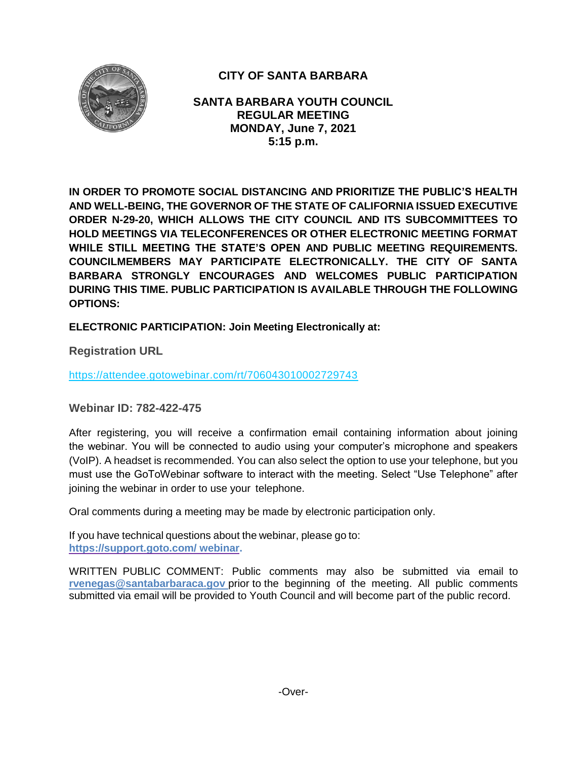

# **CITY OF SANTA BARBARA**

**SANTA BARBARA YOUTH COUNCIL REGULAR MEETING MONDAY, June 7, 2021 5:15 p.m.**

**IN ORDER TO PROMOTE SOCIAL DISTANCING AND PRIORITIZE THE PUBLIC'S HEALTH AND WELL-BEING, THE GOVERNOR OF THE STATE OF CALIFORNIA ISSUED EXECUTIVE ORDER N-29-20, WHICH ALLOWS THE CITY COUNCIL AND ITS SUBCOMMITTEES TO HOLD MEETINGS VIA TELECONFERENCES OR OTHER ELECTRONIC MEETING FORMAT WHILE STILL MEETING THE STATE'S OPEN AND PUBLIC MEETING REQUIREMENTS. COUNCILMEMBERS MAY PARTICIPATE ELECTRONICALLY. THE CITY OF SANTA BARBARA STRONGLY ENCOURAGES AND WELCOMES PUBLIC PARTICIPATION DURING THIS TIME. PUBLIC PARTICIPATION IS AVAILABLE THROUGH THE FOLLOWING OPTIONS:**

**ELECTRONIC PARTICIPATION: Join Meeting Electronically at:** 

**Registration URL** 

<https://attendee.gotowebinar.com/rt/706043010002729743>

**Webinar ID: 782-422-475**

After registering, you will receive a confirmation email containing information about joining the webinar. You will be connected to audio using your computer's microphone and speakers (VoIP). A headset is recommended. You can also select the option to use your telephone, but you must use the GoToWebinar software to interact with the meeting. Select "Use Telephone" after joining the webinar in order to use your telephone.

Oral comments during a meeting may be made by electronic participation only.

If you have technical questions about the webinar, please go to: **https://support.goto.com/ webinar.**

[WRITTEN PUBLIC COMMENT:](mailto:rvenegas@santabarbaraca.gov) Public comments may also be submitted via email to **[rvenegas@santabarbaraca.gov](mailto:rvenegas@santabarbaraca.gov)** prior to the beginning of the meeting. All public comments submitted via email will be provided to Youth Council and will become part of the public record.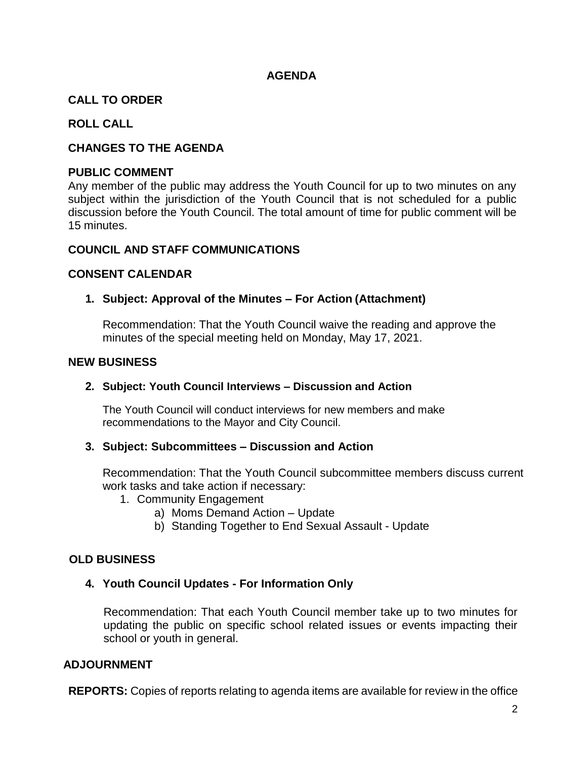## **AGENDA**

## **CALL TO ORDER**

## **ROLL CALL**

## **CHANGES TO THE AGENDA**

#### **PUBLIC COMMENT**

Any member of the public may address the Youth Council for up to two minutes on any subject within the jurisdiction of the Youth Council that is not scheduled for a public discussion before the Youth Council. The total amount of time for public comment will be 15 minutes.

#### **COUNCIL AND STAFF COMMUNICATIONS**

#### **CONSENT CALENDAR**

## **1. Subject: Approval of the Minutes – For Action (Attachment)**

Recommendation: That the Youth Council waive the reading and approve the minutes of the special meeting held on Monday, May 17, 2021.

#### **NEW BUSINESS**

#### **2. Subject: Youth Council Interviews – Discussion and Action**

The Youth Council will conduct interviews for new members and make recommendations to the Mayor and City Council.

## **3. Subject: Subcommittees – Discussion and Action**

Recommendation: That the Youth Council subcommittee members discuss current work tasks and take action if necessary:

- 1. Community Engagement
	- a) Moms Demand Action Update
	- b) Standing Together to End Sexual Assault Update

## **OLD BUSINESS**

## **4. Youth Council Updates - For Information Only**

Recommendation: That each Youth Council member take up to two minutes for updating the public on specific school related issues or events impacting their school or youth in general.

## **ADJOURNMENT**

**REPORTS:** Copies of reports relating to agenda items are available for review in the office